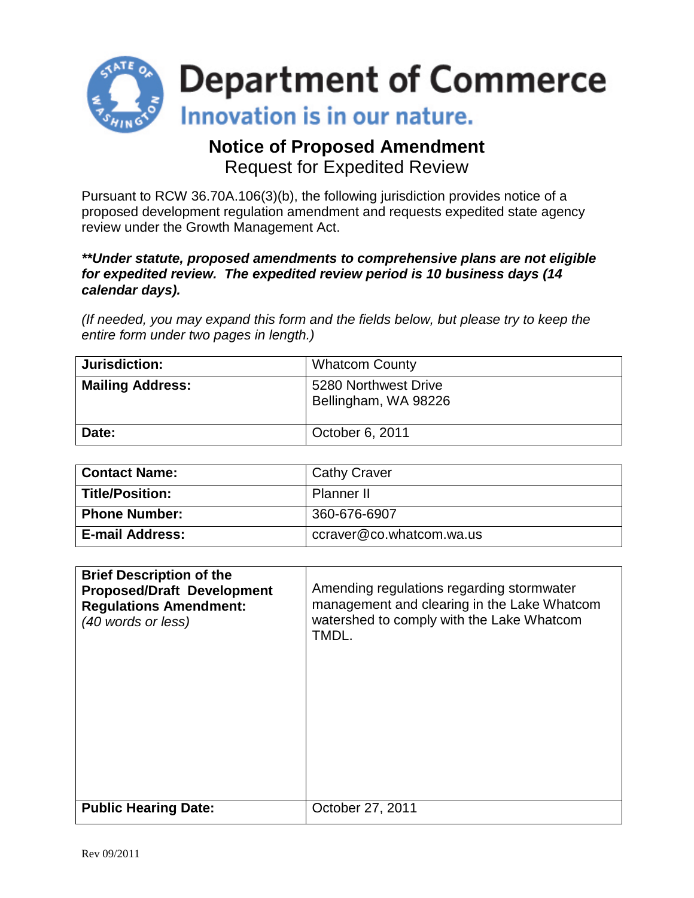

## **Notice of Proposed Amendment** Request for Expedited Review

Pursuant to RCW 36.70A.106(3)(b), the following jurisdiction provides notice of a proposed development regulation amendment and requests expedited state agency review under the Growth Management Act.

### *\*\*Under statute, proposed amendments to comprehensive plans are not eligible for expedited review. The expedited review period is 10 business days (14 calendar days).*

*(If needed, you may expand this form and the fields below, but please try to keep the entire form under two pages in length.)*

| Jurisdiction:           | <b>Whatcom County</b>                        |
|-------------------------|----------------------------------------------|
| <b>Mailing Address:</b> | 5280 Northwest Drive<br>Bellingham, WA 98226 |
| Date:                   | October 6, 2011                              |

| <b>Contact Name:</b> | <b>Cathy Craver</b>      |
|----------------------|--------------------------|
| Title/Position:      | Planner II               |
| <b>Phone Number:</b> | 360-676-6907             |
| ∣ E-mail Address:    | ccraver@co.whatcom.wa.us |

| <b>Brief Description of the</b>   | Amending regulations regarding stormwater   |
|-----------------------------------|---------------------------------------------|
| <b>Proposed/Draft Development</b> | management and clearing in the Lake Whatcom |
| <b>Regulations Amendment:</b>     | watershed to comply with the Lake Whatcom   |
| (40 words or less)                | TMDL.                                       |
| <b>Public Hearing Date:</b>       | October 27, 2011                            |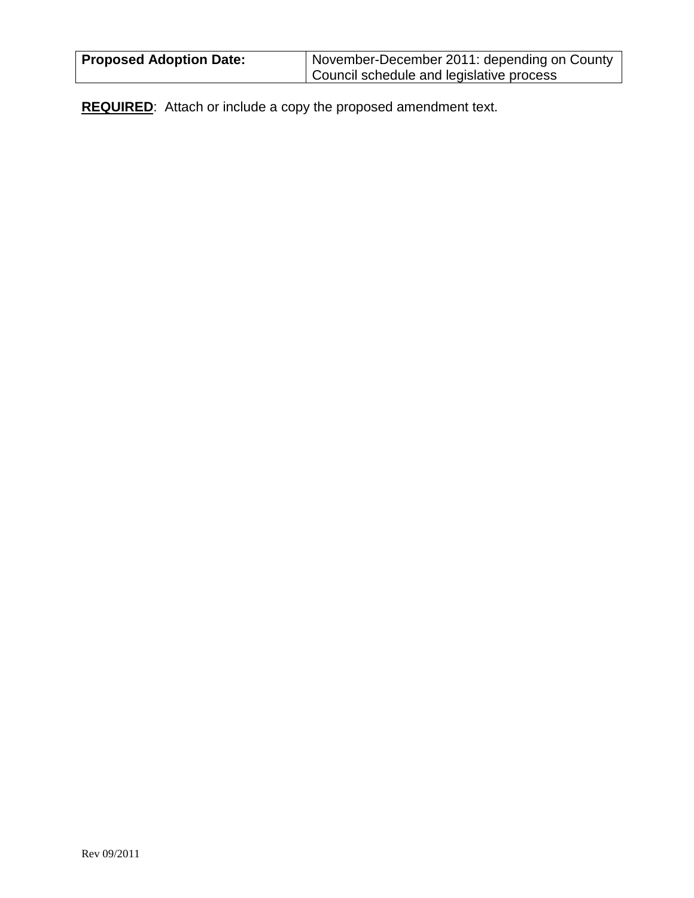| <b>Proposed Adoption Date:</b> | November-December 2011: depending on County |
|--------------------------------|---------------------------------------------|
|                                | Council schedule and legislative process    |

**REQUIRED**: Attach or include a copy the proposed amendment text.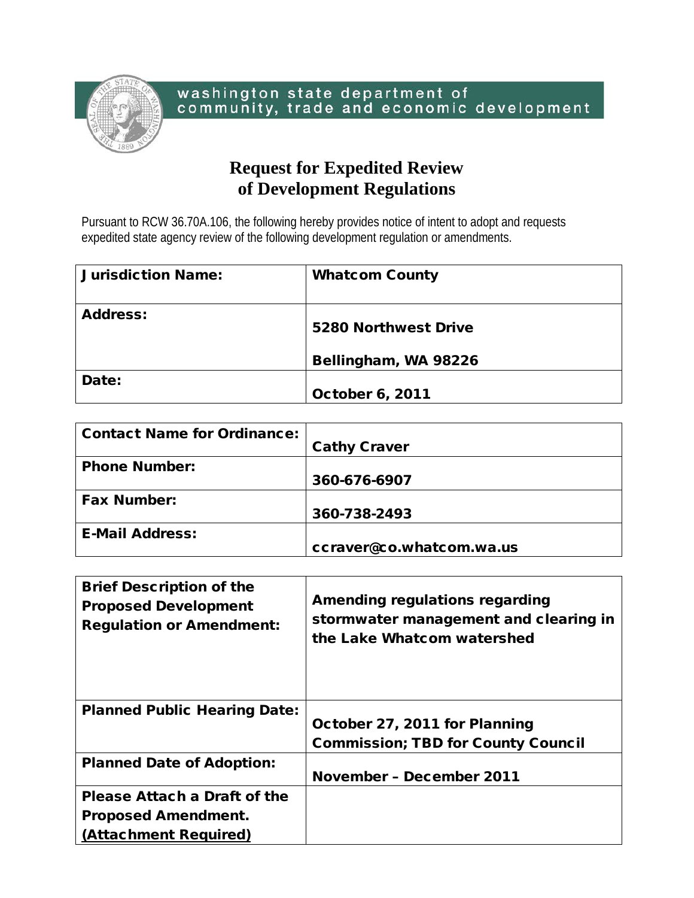

# **Request for Expedited Review of Development Regulations**

Pursuant to RCW 36.70A.106, the following hereby provides notice of intent to adopt and requests expedited state agency review of the following development regulation or amendments.

| <b>Jurisdiction Name:</b> | <b>Whatcom County</b>  |
|---------------------------|------------------------|
| <b>Address:</b>           | 5280 Northwest Drive   |
|                           | Bellingham, WA 98226   |
| Date:                     | <b>October 6, 2011</b> |

| <b>Contact Name for Ordinance:</b> | <b>Cathy Craver</b>      |
|------------------------------------|--------------------------|
|                                    |                          |
| <b>Phone Number:</b>               |                          |
|                                    | 360-676-6907             |
| <b>Fax Number:</b>                 |                          |
|                                    | 360-738-2493             |
| <b>E-Mail Address:</b>             |                          |
|                                    | ccraver@co.whatcom.wa.us |

| <b>Brief Description of the</b><br><b>Proposed Development</b><br><b>Regulation or Amendment:</b> | Amending regulations regarding<br>stormwater management and clearing in<br>the Lake Whatcom watershed |
|---------------------------------------------------------------------------------------------------|-------------------------------------------------------------------------------------------------------|
| <b>Planned Public Hearing Date:</b>                                                               |                                                                                                       |
|                                                                                                   | October 27, 2011 for Planning                                                                         |
|                                                                                                   | <b>Commission; TBD for County Council</b>                                                             |
| <b>Planned Date of Adoption:</b>                                                                  |                                                                                                       |
|                                                                                                   | <b>November - December 2011</b>                                                                       |
| Please Attach a Draft of the                                                                      |                                                                                                       |
| <b>Proposed Amendment.</b>                                                                        |                                                                                                       |
| (Attachment Required)                                                                             |                                                                                                       |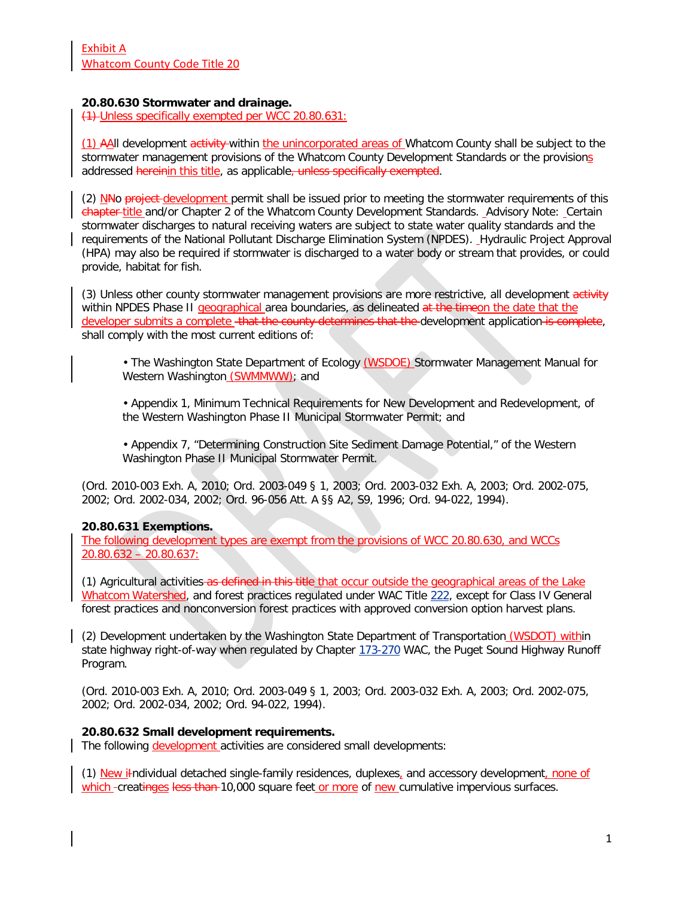#### **20.80.630 Stormwater and drainage.**

(1) Unless specifically exempted per WCC 20.80.631:

(1) AAll development activity within the unincorporated areas of Whatcom County shall be subject to the stormwater management provisions of the Whatcom County Development Standards or the provisions addressed hereinin this title, as applicable, unless specifically exempted.

(2) NHo project development permit shall be issued prior to meeting the stormwater requirements of this chapter-title and/or Chapter 2 of the Whatcom County Development Standards. Advisory Note: Certain stormwater discharges to natural receiving waters are subject to state water quality standards and the requirements of the National Pollutant Discharge Elimination System (NPDES). Hydraulic Project Approval (HPA) may also be required if stormwater is discharged to a water body or stream that provides, or could provide, habitat for fish.

(3) Unless other county stormwater management provisions are more restrictive, all development activity within NPDES Phase II geographical area boundaries, as delineated at the timeon the date that the developer submits a complete - that the county determines that the development application is complete, shall comply with the most current editions of:

• The Washington State Department of Ecology (WSDOE) Stormwater Management Manual for Western Washington (SWMMWW); and

• Appendix 1, Minimum Technical Requirements for New Development and Redevelopment, of the Western Washington Phase II Municipal Stormwater Permit; and

• Appendix 7, "Determining Construction Site Sediment Damage Potential," of the Western Washington Phase II Municipal Stormwater Permit.

(Ord. 2010-003 Exh. A, 2010; Ord. 2003-049 § 1, 2003; Ord. 2003-032 Exh. A, 2003; Ord. 2002-075, 2002; Ord. 2002-034, 2002; Ord. 96-056 Att. A §§ A2, S9, 1996; Ord. 94-022, 1994).

#### **20.80.631 Exemptions.**

The following development types are exempt from the provisions of WCC 20.80.630, and WCCs 20.80.632 – 20.80.637:

(1) Agricultural activities as defined in this title that occur outside the geographical areas of the Lake Whatcom Watershed, and forest practices regulated under WAC Title [222,](http://www.codepublishing.com/cgi-bin/wac.pl?cite=222) except for Class IV General forest practices and nonconversion forest practices with approved conversion option harvest plans.

(2) Development undertaken by the Washington State Department of Transportation (WSDOT) within state highway right-of-way when regulated by Chapter [173-270](http://www.codepublishing.com/cgi-bin/wac.pl?cite=173-270) WAC, the Puget Sound Highway Runoff Program.

(Ord. 2010-003 Exh. A, 2010; Ord. 2003-049 § 1, 2003; Ord. 2003-032 Exh. A, 2003; Ord. 2002-075, 2002; Ord. 2002-034, 2002; Ord. 94-022, 1994).

#### **20.80.632 Small development requirements.**

The following development activities are considered small developments:

(1) New i<sub></sub>Individual detached single-family residences, duplexes, and accessory development, none of which -creatinges less than 10,000 square feet or more of new cumulative impervious surfaces.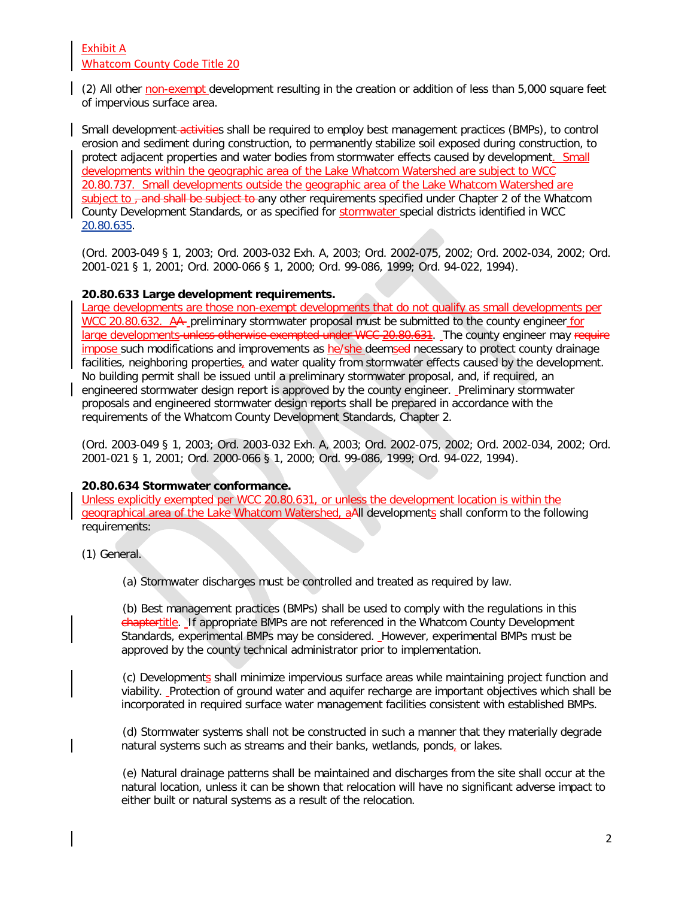### Exhibit A Whatcom County Code Title 20

(2) All other non-exempt development resulting in the creation or addition of less than 5,000 square feet of impervious surface area.

Small development-activities shall be required to employ best management practices (BMPs), to control erosion and sediment during construction, to permanently stabilize soil exposed during construction, to protect adjacent properties and water bodies from stormwater effects caused by development. Small developments within the geographic area of the Lake Whatcom Watershed are subject to WCC 20.80.737. Small developments outside the geographic area of the Lake Whatcom Watershed are subject to <del>, and shall be subject to a</del>ny other requirements specified under Chapter 2 of the Whatcom County Development Standards, or as specified for stormwater special districts identified in WCC [20.80.635.](http://www.codepublishing.com/wa/whatcomcounty/html/Whatco20/Whatco2080.html%2320.80.635)

(Ord. 2003-049 § 1, 2003; Ord. 2003-032 Exh. A, 2003; Ord. 2002-075, 2002; Ord. 2002-034, 2002; Ord. 2001-021 § 1, 2001; Ord. 2000-066 § 1, 2000; Ord. 99-086, 1999; Ord. 94-022, 1994).

### **20.80.633 Large development requirements.**

Large developments are those non-exempt developments that do not qualify as small developments per WCC 20.80.632. A<sub>t</sub> preliminary stormwater proposal must be submitted to the county engineer for large developments unless otherwise exempted under WCC 20.80.631. The county engineer may require impose such modifications and improvements as he/she deemsed necessary to protect county drainage facilities, neighboring properties, and water quality from stormwater effects caused by the development. No building permit shall be issued until a preliminary stormwater proposal, and, if required, an engineered stormwater design report is approved by the county engineer. Preliminary stormwater proposals and engineered stormwater design reports shall be prepared in accordance with the requirements of the Whatcom County Development Standards, Chapter 2.

(Ord. 2003-049 § 1, 2003; Ord. 2003-032 Exh. A, 2003; Ord. 2002-075, 2002; Ord. 2002-034, 2002; Ord. 2001-021 § 1, 2001; Ord. 2000-066 § 1, 2000; Ord. 99-086, 1999; Ord. 94-022, 1994).

### **20.80.634 Stormwater conformance.**

Unless explicitly exempted per WCC 20.80.631, or unless the development location is within the geographical area of the Lake Whatcom Watershed, aAll developments shall conform to the following requirements:

(1) General.

(a) Stormwater discharges must be controlled and treated as required by law.

(b) Best management practices (BMPs) shall be used to comply with the regulations in this chaptertitle. If appropriate BMPs are not referenced in the Whatcom County Development Standards, experimental BMPs may be considered. However, experimental BMPs must be approved by the county technical administrator prior to implementation.

(c) Developments shall minimize impervious surface areas while maintaining project function and viability. Protection of ground water and aquifer recharge are important objectives which shall be incorporated in required surface water management facilities consistent with established BMPs.

(d) Stormwater systems shall not be constructed in such a manner that they materially degrade natural systems such as streams and their banks, wetlands, ponds, or lakes.

(e) Natural drainage patterns shall be maintained and discharges from the site shall occur at the natural location, unless it can be shown that relocation will have no significant adverse impact to either built or natural systems as a result of the relocation.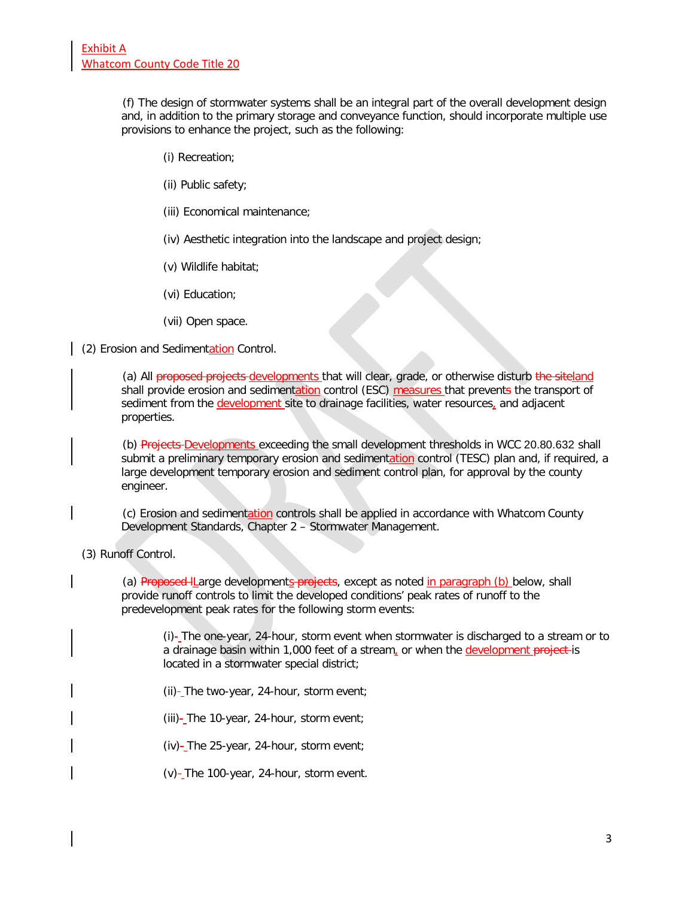(f) The design of stormwater systems shall be an integral part of the overall development design and, in addition to the primary storage and conveyance function, should incorporate multiple use provisions to enhance the project, such as the following:

- (i) Recreation;
- (ii) Public safety;
- (iii) Economical maintenance;
- (iv) Aesthetic integration into the landscape and project design;
- (v) Wildlife habitat;
- (vi) Education;
- (vii) Open space.

(2) Erosion and Sedimentation Control.

(a) All proposed projects developments that will clear, grade, or otherwise disturb the siteland shall provide erosion and sedimentation control (ESC) measures that prevents the transport of sediment from the development site to drainage facilities, water resources, and adjacent properties.

(b) Projects-Developments exceeding the small development thresholds in WCC [20.80.632](http://www.codepublishing.com/wa/whatcomcounty/html/Whatco20/Whatco2080.html%2320.80.632) shall submit a preliminary temporary erosion and sedimentation control (TESC) plan and, if required, a large development temporary erosion and sediment control plan, for approval by the county engineer.

(c) Erosion and sedimentation controls shall be applied in accordance with Whatcom County Development Standards, Chapter 2 – Stormwater Management.

#### (3) Runoff Control.

(a) Proposed ILarge developments projects, except as noted in paragraph (b) below, shall provide runoff controls to limit the developed conditions' peak rates of runoff to the predevelopment peak rates for the following storm events:

(i)-\_The one-year, 24-hour, storm event when stormwater is discharged to a stream or to a drainage basin within 1,000 feet of a stream, or when the development project is located in a stormwater special district;

 $(ii)-$ The two-year, 24-hour, storm event;

(iii) $-$ The 10-year, 24-hour, storm event;

 $(iv)$ -The 25-year, 24-hour, storm event;

 $(v)$ -The 100-year, 24-hour, storm event.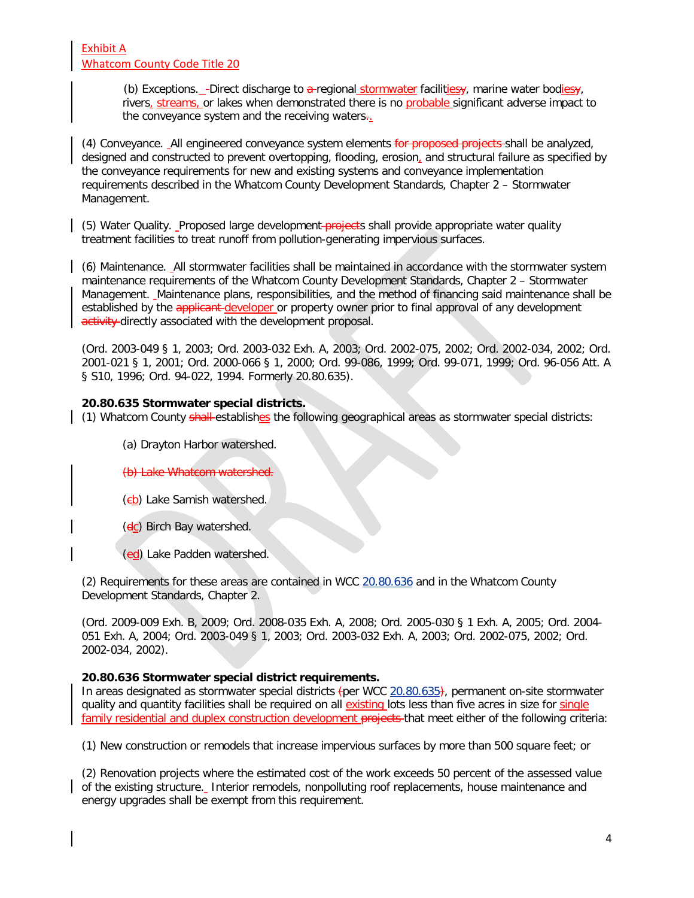(b) Exceptions. -Direct discharge to  $a$ -regional stormwater facilities $\mathbf{y}$ , marine water bodies $\mathbf{y}$ , rivers, streams, or lakes when demonstrated there is no probable significant adverse impact to the conveyance system and the receiving waters.

(4) Conveyance. All engineered conveyance system elements for proposed projects-shall be analyzed, designed and constructed to prevent overtopping, flooding, erosion, and structural failure as specified by the conveyance requirements for new and existing systems and conveyance implementation requirements described in the Whatcom County Development Standards, Chapter 2 – Stormwater Management.

(5) Water Quality. Proposed large development-projects shall provide appropriate water quality treatment facilities to treat runoff from pollution-generating impervious surfaces.

(6) Maintenance. All stormwater facilities shall be maintained in accordance with the stormwater system maintenance requirements of the Whatcom County Development Standards, Chapter 2 – Stormwater Management. Maintenance plans, responsibilities, and the method of financing said maintenance shall be established by the applicant developer or property owner prior to final approval of any development activity directly associated with the development proposal.

(Ord. 2003-049 § 1, 2003; Ord. 2003-032 Exh. A, 2003; Ord. 2002-075, 2002; Ord. 2002-034, 2002; Ord. 2001-021 § 1, 2001; Ord. 2000-066 § 1, 2000; Ord. 99-086, 1999; Ord. 99-071, 1999; Ord. 96-056 Att. A § S10, 1996; Ord. 94-022, 1994. Formerly 20.80.635).

### **20.80.635 Stormwater special districts.**

(1) Whatcom County shall establishes the following geographical areas as stormwater special districts:

- (a) Drayton Harbor watershed.
- (b) Lake Whatcom watershed.
- (eb) Lake Samish watershed.
- (dc) Birch Bay watershed.
- (ed) Lake Padden watershed.

(2) Requirements for these areas are contained in WCC [20.80.636](http://www.codepublishing.com/wa/whatcomcounty/html/Whatco20/Whatco2080.html%2320.80.636) and in the Whatcom County Development Standards, Chapter 2.

(Ord. 2009-009 Exh. B, 2009; Ord. 2008-035 Exh. A, 2008; Ord. 2005-030 § 1 Exh. A, 2005; Ord. 2004- 051 Exh. A, 2004; Ord. 2003-049 § 1, 2003; Ord. 2003-032 Exh. A, 2003; Ord. 2002-075, 2002; Ord. 2002-034, 2002).

### **20.80.636 Stormwater special district requirements.**

In areas designated as stormwater special districts (per WCC [20.80.635\)](http://www.codepublishing.com/wa/whatcomcounty/html/Whatco20/Whatco2080.html%2320.80.635), permanent on-site stormwater quality and quantity facilities shall be required on all existing lots less than five acres in size for single family residential and duplex construction development projects that meet either of the following criteria:

(1) New construction or remodels that increase impervious surfaces by more than 500 square feet; or

(2) Renovation projects where the estimated cost of the work exceeds 50 percent of the assessed value of the existing structure. Interior remodels, nonpolluting roof replacements, house maintenance and energy upgrades shall be exempt from this requirement.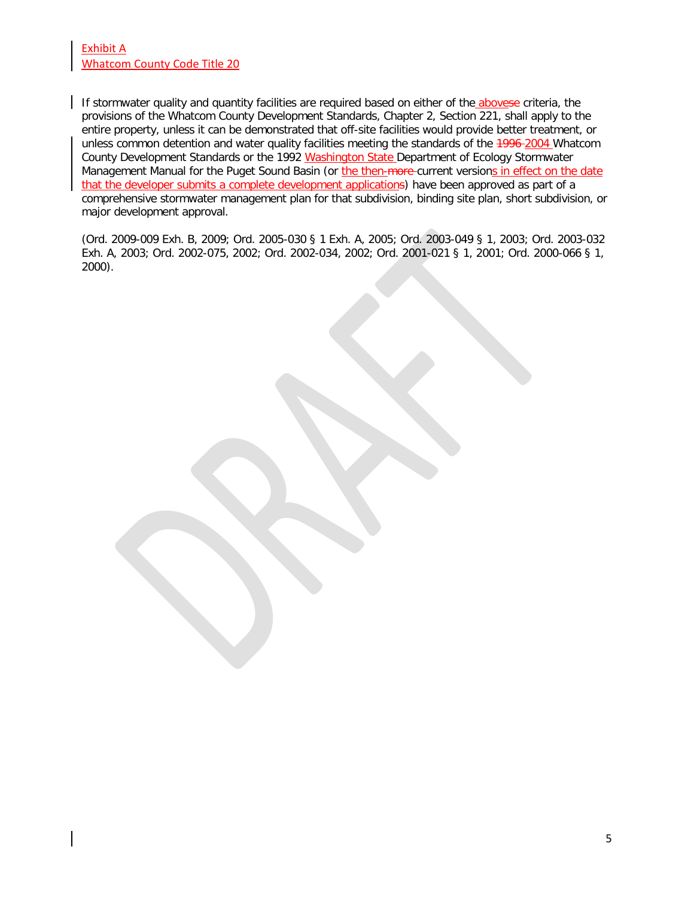### Exhibit A Whatcom County Code Title 20

If stormwater quality and quantity facilities are required based on either of the abovese criteria, the provisions of the Whatcom County Development Standards, Chapter 2, Section 221, shall apply to the entire property, unless it can be demonstrated that off-site facilities would provide better treatment, or unless common detention and water quality facilities meeting the standards of the 4996-2004 Whatcom County Development Standards or the 1992 Washington State Department of Ecology Stormwater Management Manual for the Puget Sound Basin (or the then-more-current versions in effect on the date that the developer submits a complete development applications) have been approved as part of a comprehensive stormwater management plan for that subdivision, binding site plan, short subdivision, or major development approval.

(Ord. 2009-009 Exh. B, 2009; Ord. 2005-030 § 1 Exh. A, 2005; Ord. 2003-049 § 1, 2003; Ord. 2003-032 Exh. A, 2003; Ord. 2002-075, 2002; Ord. 2002-034, 2002; Ord. 2001-021 § 1, 2001; Ord. 2000-066 § 1, 2000).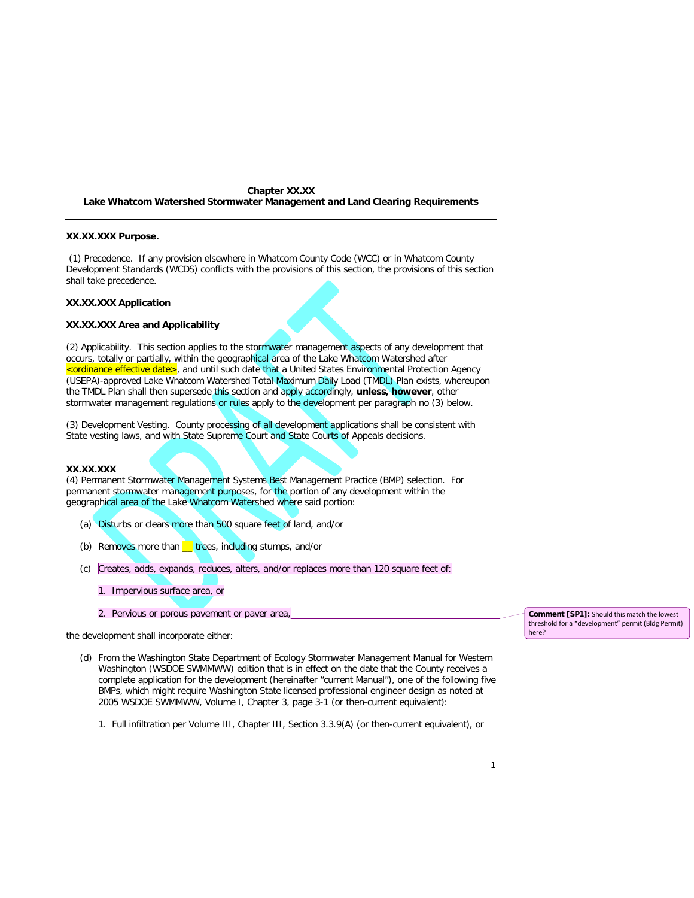#### **Chapter XX.XX Lake Whatcom Watershed Stormwater Management and Land Clearing Requirements**

#### **XX.XX.XXX Purpose.**

(1) Precedence. If any provision elsewhere in Whatcom County Code (WCC) or in Whatcom County Development Standards (WCDS) conflicts with the provisions of this section, the provisions of this section shall take precedence.

#### **XX.XX.XXX Application**

#### **XX.XX.XXX Area and Applicability**

(2) Applicability. This section applies to the stormwater management aspects of any development that occurs, totally or partially, within the geographical area of the Lake Whatcom Watershed after <ordinance effective date>, and until such date that a United States Environmental Protection Agency (USEPA)-approved Lake Whatcom Watershed Total Maximum Daily Load (TMDL) Plan exists, whereupon the TMDL Plan shall then supersede this section and apply accordingly, **unless, however**, other stormwater management regulations or rules apply to the development per paragraph no (3) below.

(3) Development Vesting. County processing of all development applications shall be consistent with State vesting laws, and with State Supreme Court and State Courts of Appeals decisions.

#### **XX.XX.XXX**

(4) Permanent Stormwater Management Systems Best Management Practice (BMP) selection. For permanent stormwater management purposes, for the portion of any development within the geographical area of the Lake Whatcom Watershed where said portion:

- (a) Disturbs or clears more than 500 square feet of land, and/or
- (b) Removes more than  $\equiv$  trees, including stumps, and/or
- (c) Creates, adds, expands, reduces, alters, and/or replaces more than 120 square feet of:
	- 1. Impervious surface area, or
	- 2. Pervious or porous pavement or paver area,

the development shall incorporate either:

- (d) From the Washington State Department of Ecology Stormwater Management Manual for Western Washington (WSDOE SWMMWW) edition that is in effect on the date that the County receives a complete application for the development (hereinafter "current Manual"), one of the following five BMPs, which might require Washington State licensed professional engineer design as noted at 2005 WSDOE SWMMWW, Volume I, Chapter 3, page 3-1 (or then-current equivalent):
	- 1. Full infiltration per Volume III, Chapter III, Section 3.3.9(A) (or then-current equivalent), or

**Comment [SP1]:** Should this match the lowest threshold for a "development" permit (Bldg Permit) here?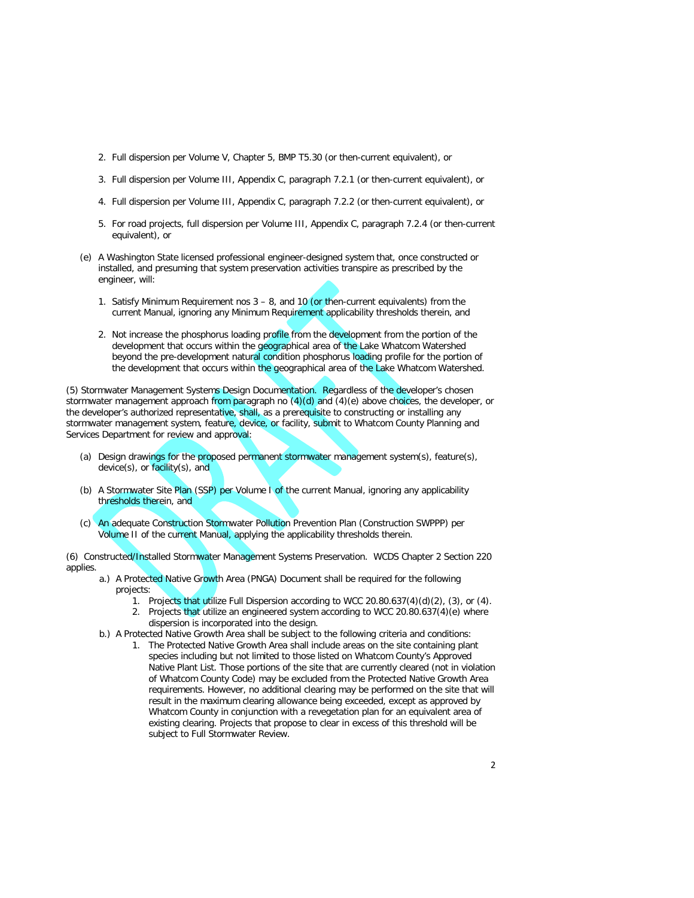- 2. Full dispersion per Volume V, Chapter 5, BMP T5.30 (or then-current equivalent), or
- 3. Full dispersion per Volume III, Appendix C, paragraph 7.2.1 (or then-current equivalent), or
- 4. Full dispersion per Volume III, Appendix C, paragraph 7.2.2 (or then-current equivalent), or
- 5. For road projects, full dispersion per Volume III, Appendix C, paragraph 7.2.4 (or then-current equivalent), or
- (e) A Washington State licensed professional engineer-designed system that, once constructed or installed, and presuming that system preservation activities transpire as prescribed by the engineer, will:
	- 1. Satisfy Minimum Requirement nos  $3 8$ , and 10 (or then-current equivalents) from the current Manual, ignoring any Minimum Requirement applicability thresholds therein, and
	- 2. Not increase the phosphorus loading profile from the development from the portion of the development that occurs within the geographical area of the Lake Whatcom Watershed beyond the pre-development natural condition phosphorus loading profile for the portion of the development that occurs within the geographical area of the Lake Whatcom Watershed.

(5) Stormwater Management Systems Design Documentation. Regardless of the developer's chosen stormwater management approach from paragraph no  $(4)(d)$  and  $(4)(e)$  above choices, the developer, or the developer's authorized representative, shall, as a prerequisite to constructing or installing any stormwater management system, feature, device, or facility, submit to Whatcom County Planning and Services Department for review and approval:

- (a) Design drawings for the proposed permanent stormwater management system(s), feature(s), device(s), or facility(s), and
- (b) A Stormwater Site Plan (SSP) per Volume I of the current Manual, ignoring any applicability thresholds therein, and
- (c) An adequate Construction Stormwater Pollution Prevention Plan (Construction SWPPP) per Volume II of the current Manual, applying the applicability thresholds therein.

(6) Constructed/Installed Stormwater Management Systems Preservation. WCDS Chapter 2 Section 220 applies.

- a.) A Protected Native Growth Area (PNGA) Document shall be required for the following projects:
	- 1. Projects that utilize Full Dispersion according to WCC 20.80.637(4)(d)(2), (3), or (4).
	- 2. Projects that utilize an engineered system according to WCC 20.80.637(4)(e) where dispersion is incorporated into the design.
- b.) A Protected Native Growth Area shall be subject to the following criteria and conditions:
	- 1. The Protected Native Growth Area shall include areas on the site containing plant species including but not limited to those listed on Whatcom County's Approved Native Plant List. Those portions of the site that are currently cleared (not in violation of Whatcom County Code) may be excluded from the Protected Native Growth Area requirements. However, no additional clearing may be performed on the site that will result in the maximum clearing allowance being exceeded, except as approved by Whatcom County in conjunction with a revegetation plan for an equivalent area of existing clearing. Projects that propose to clear in excess of this threshold will be subject to Full Stormwater Review.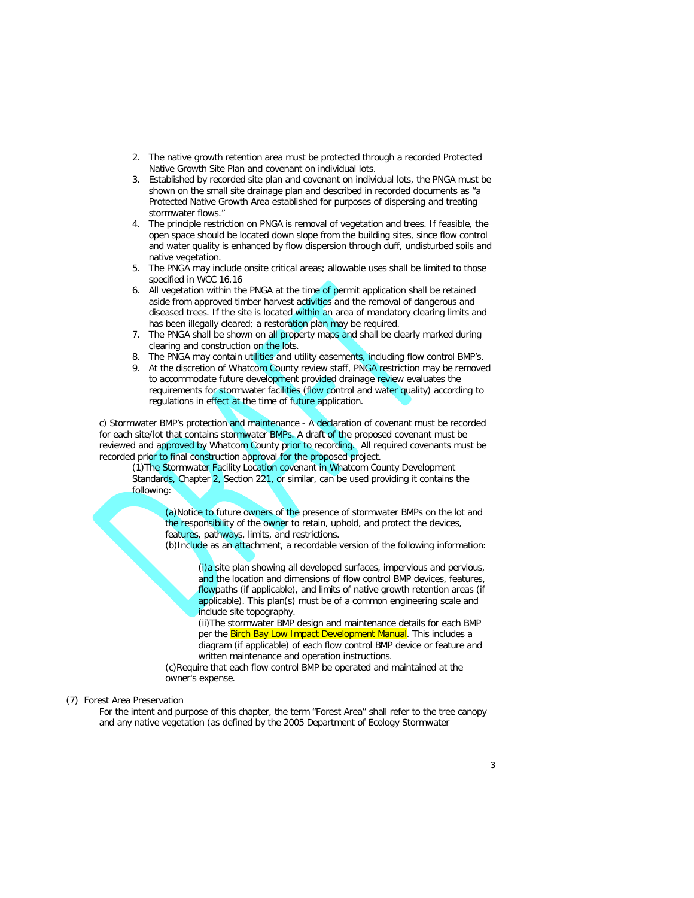- 2. The native growth retention area must be protected through a recorded Protected Native Growth Site Plan and covenant on individual lots.
- 3. Established by recorded site plan and covenant on individual lots, the PNGA must be shown on the small site drainage plan and described in recorded documents as "a Protected Native Growth Area established for purposes of dispersing and treating stormwater flows."
- 4. The principle restriction on PNGA is removal of vegetation and trees. If feasible, the open space should be located down slope from the building sites, since flow control and water quality is enhanced by flow dispersion through duff, undisturbed soils and native vegetation.
- 5. The PNGA may include onsite critical areas; allowable uses shall be limited to those specified in WCC 16.16
- 6. All vegetation within the PNGA at the time of permit application shall be retained aside from approved timber harvest activities and the removal of dangerous and diseased trees. If the site is located within an area of mandatory clearing limits and has been illegally cleared; a restoration plan may be required.
- 7. The PNGA shall be shown on all property maps and shall be clearly marked during clearing and construction on the lots.
- 8. The PNGA may contain utilities and utility easements, including flow control BMP's.
- 9. At the discretion of Whatcom County review staff, PNGA restriction may be removed to accommodate future development provided drainage review evaluates the requirements for stormwater facilities (flow control and water quality) according to regulations in effect at the time of future application.

c) Stormwater BMP's protection and maintenance - A declaration of covenant must be recorded for each site/lot that contains stormwater BMPs. A draft of the proposed covenant must be reviewed and approved by Whatcom County prior to recording. All required covenants must be recorded prior to final construction approval for the proposed project.

(1)The Stormwater Facility Location covenant in Whatcom County Development Standards, Chapter 2, Section 221, or similar, can be used providing it contains the following:

(a)Notice to future owners of the presence of stormwater BMPs on the lot and the responsibility of the owner to retain, uphold, and protect the devices, features, pathways, limits, and restrictions.

(b)Include as an attachment, a recordable version of the following information:

(i)a site plan showing all developed surfaces, impervious and pervious, and the location and dimensions of flow control BMP devices, features, flowpaths (if applicable), and limits of native growth retention areas (if applicable). This plan(s) must be of a common engineering scale and include site topography.

(ii)The stormwater BMP design and maintenance details for each BMP per the Birch Bay Low Impact Development Manual. This includes a diagram (if applicable) of each flow control BMP device or feature and written maintenance and operation instructions.

(c)Require that each flow control BMP be operated and maintained at the owner's expense.

#### (7) Forest Area Preservation

For the intent and purpose of this chapter, the term "Forest Area" shall refer to the tree canopy and any native vegetation (as defined by the 2005 Department of Ecology Stormwater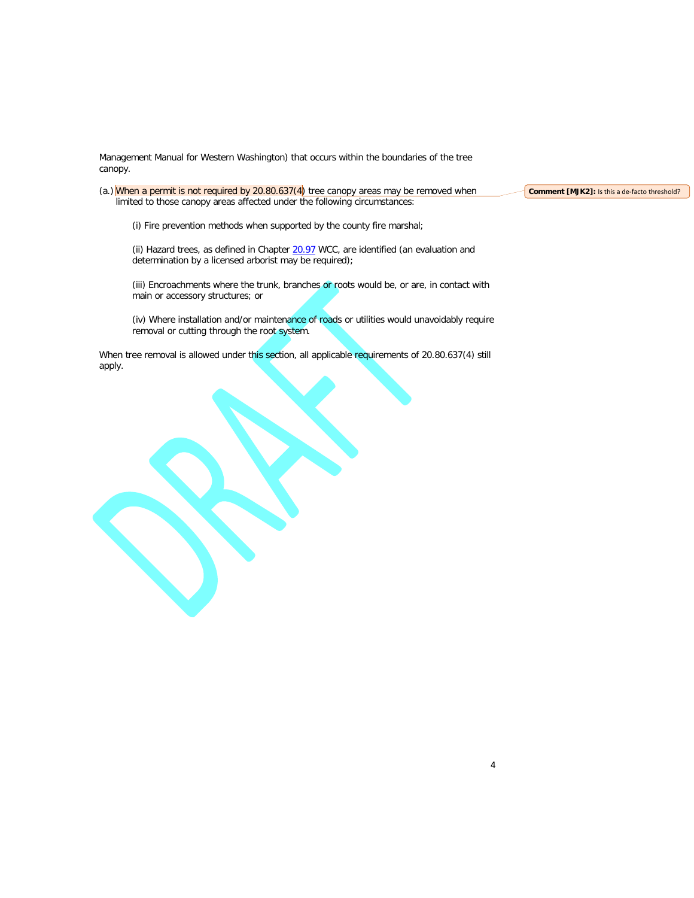Management Manual for Western Washington) that occurs within the boundaries of the tree canopy.

(a.) When a permit is not required by  $20.80.637(4)$  tree canopy areas may be removed when limited to those canopy areas affected under the following circumstances:

**Comment [MJK2]:** Is this a de-facto threshold?

(i) Fire prevention methods when supported by the county fire marshal;

(ii) Hazard trees, as defined in Chapter [20.97](http://www.codepublishing.com/wa/whatcomcounty/html/Whatco20/Whatco2097.html%2320.97) WCC, are identified (an evaluation and determination by a licensed arborist may be required);

(iii) Encroachments where the trunk, branches or roots would be, or are, in contact with main or accessory structures; or

(iv) Where installation and/or maintenance of roads or utilities would unavoidably require removal or cutting through the root system.

When tree removal is allowed under this section, all applicable requirements of 20.80.637(4) still apply.

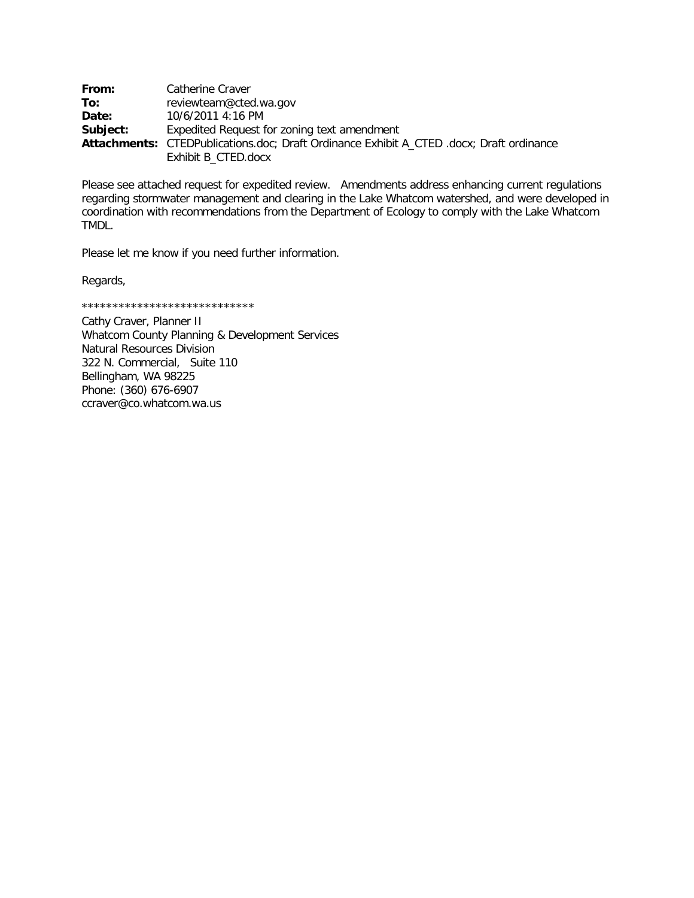| From:    | Catherine Craver                                                                         |
|----------|------------------------------------------------------------------------------------------|
| To:      | reviewteam@cted.wa.gov                                                                   |
| Date:    | 10/6/2011 4:16 PM                                                                        |
| Subject: | Expedited Request for zoning text amendment                                              |
|          | Attachments: CTEDPublications.doc; Draft Ordinance Exhibit A_CTED .docx; Draft ordinance |
|          | Exhibit B_CTED.docx                                                                      |

Please see attached request for expedited review. Amendments address enhancing current regulations regarding stormwater management and clearing in the Lake Whatcom watershed, and were developed in coordination with recommendations from the Department of Ecology to comply with the Lake Whatcom TMDL.

Please let me know if you need further information.

Regards,

\*\*\*\*\*\*\*\*\*\*\*\*\*\*\*\*\*\*\*\*\*\*\*\*\*\*\*\*

Cathy Craver, Planner II Whatcom County Planning & Development Services Natural Resources Division 322 N. Commercial, Suite 110 Bellingham, WA 98225 Phone: (360) 676-6907 ccraver@co.whatcom.wa.us